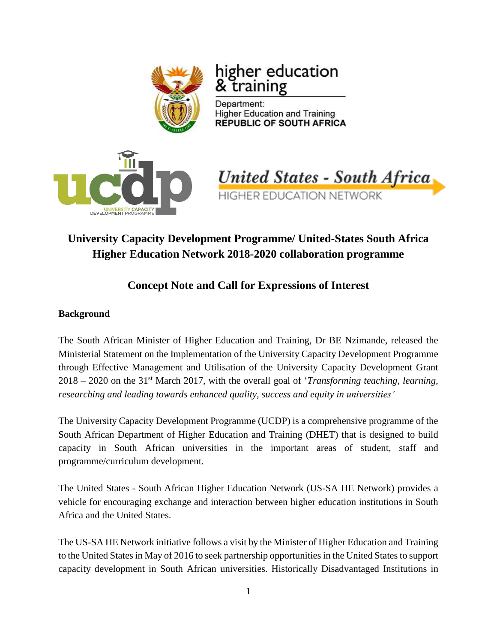

# higher education trall

Department: **Higher Education and Training REPUBLIC OF SOUTH AFRICA** 



**United States - South Africa HIGHER EDUCATION NETWORK** 

# **University Capacity Development Programme/ United-States South Africa Higher Education Network 2018-2020 collaboration programme**

# **Concept Note and Call for Expressions of Interest**

# **Background**

The South African Minister of Higher Education and Training, Dr BE Nzimande, released the Ministerial Statement on the Implementation of the University Capacity Development Programme through Effective Management and Utilisation of the University Capacity Development Grant 2018 – 2020 on the 31st March 2017, with the overall goal of '*Transforming teaching, learning, researching and leading towards enhanced quality, success and equity in universities'*

The University Capacity Development Programme (UCDP) is a comprehensive programme of the South African Department of Higher Education and Training (DHET) that is designed to build capacity in South African universities in the important areas of student, staff and programme/curriculum development.

The United States - South African Higher Education Network (US-SA HE Network) provides a vehicle for encouraging exchange and interaction between higher education institutions in South Africa and the United States.

The US-SA HE Network initiative follows a visit by the Minister of Higher Education and Training to the United States in May of 2016 to seek partnership opportunities in the United States to support capacity development in South African universities. Historically Disadvantaged Institutions in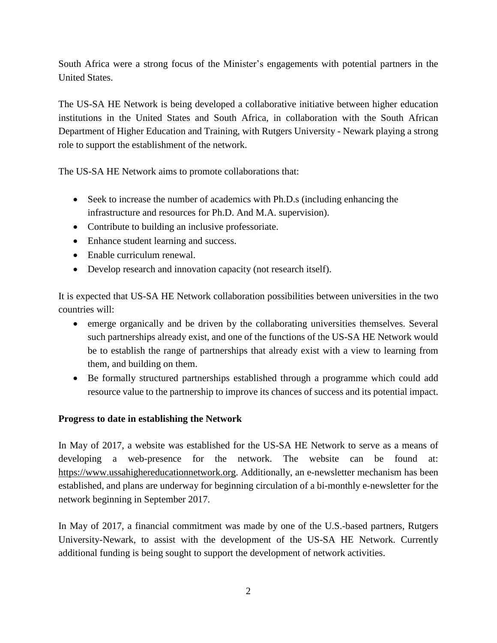South Africa were a strong focus of the Minister's engagements with potential partners in the United States.

The US-SA HE Network is being developed a collaborative initiative between higher education institutions in the United States and South Africa, in collaboration with the South African Department of Higher Education and Training, with Rutgers University - Newark playing a strong role to support the establishment of the network.

The US-SA HE Network aims to promote collaborations that:

- Seek to increase the number of academics with Ph.D.s (including enhancing the infrastructure and resources for Ph.D. And M.A. supervision).
- Contribute to building an inclusive professoriate.
- Enhance student learning and success.
- Enable curriculum renewal.
- Develop research and innovation capacity (not research itself).

It is expected that US-SA HE Network collaboration possibilities between universities in the two countries will:

- emerge organically and be driven by the collaborating universities themselves. Several such partnerships already exist, and one of the functions of the US-SA HE Network would be to establish the range of partnerships that already exist with a view to learning from them, and building on them.
- Be formally structured partnerships established through a programme which could add resource value to the partnership to improve its chances of success and its potential impact.

### **Progress to date in establishing the Network**

In May of 2017, a website was established for the US-SA HE Network to serve as a means of developing a web-presence for the network. The website can be found at: [https://www.ussahighereducationnetwork.org.](https://www.ussahighereducationnetwork.org/) Additionally, an e-newsletter mechanism has been established, and plans are underway for beginning circulation of a bi-monthly e-newsletter for the network beginning in September 2017.

In May of 2017, a financial commitment was made by one of the U.S.-based partners, Rutgers University-Newark, to assist with the development of the US-SA HE Network. Currently additional funding is being sought to support the development of network activities.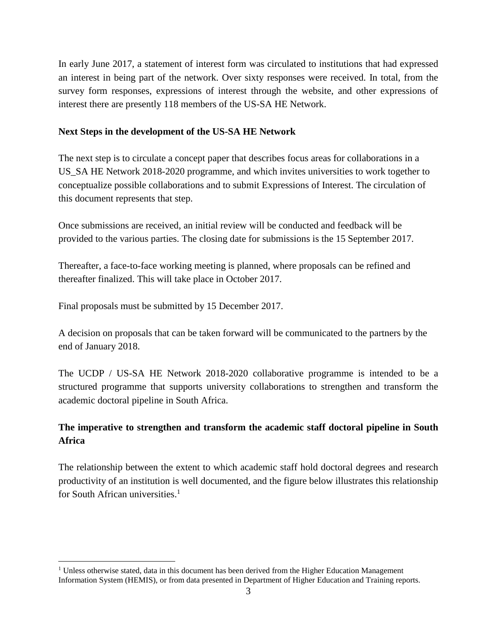In early June 2017, a statement of interest form was circulated to institutions that had expressed an interest in being part of the network. Over sixty responses were received. In total, from the survey form responses, expressions of interest through the website, and other expressions of interest there are presently 118 members of the US-SA HE Network.

#### **Next Steps in the development of the US-SA HE Network**

The next step is to circulate a concept paper that describes focus areas for collaborations in a US\_SA HE Network 2018-2020 programme, and which invites universities to work together to conceptualize possible collaborations and to submit Expressions of Interest. The circulation of this document represents that step.

Once submissions are received, an initial review will be conducted and feedback will be provided to the various parties. The closing date for submissions is the 15 September 2017.

Thereafter, a face-to-face working meeting is planned, where proposals can be refined and thereafter finalized. This will take place in October 2017.

Final proposals must be submitted by 15 December 2017.

 $\overline{a}$ 

A decision on proposals that can be taken forward will be communicated to the partners by the end of January 2018.

The UCDP / US-SA HE Network 2018-2020 collaborative programme is intended to be a structured programme that supports university collaborations to strengthen and transform the academic doctoral pipeline in South Africa.

# **The imperative to strengthen and transform the academic staff doctoral pipeline in South Africa**

The relationship between the extent to which academic staff hold doctoral degrees and research productivity of an institution is well documented, and the figure below illustrates this relationship for South African universities.<sup>1</sup>

 $<sup>1</sup>$  Unless otherwise stated, data in this document has been derived from the Higher Education Management</sup> Information System (HEMIS), or from data presented in Department of Higher Education and Training reports.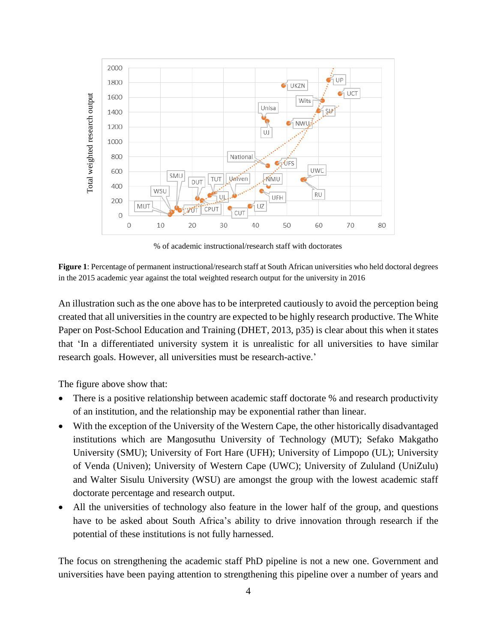

% of academic instructional/research staff with doctorates

**Figure 1**: Percentage of permanent instructional/research staff at South African universities who held doctoral degrees in the 2015 academic year against the total weighted research output for the university in 2016

An illustration such as the one above has to be interpreted cautiously to avoid the perception being created that all universities in the country are expected to be highly research productive. The White Paper on Post-School Education and Training (DHET, 2013, p35) is clear about this when it states that 'In a differentiated university system it is unrealistic for all universities to have similar research goals. However, all universities must be research-active.'

The figure above show that:

- There is a positive relationship between academic staff doctorate % and research productivity of an institution, and the relationship may be exponential rather than linear.
- With the exception of the University of the Western Cape, the other historically disadvantaged institutions which are Mangosuthu University of Technology (MUT); Sefako Makgatho University (SMU); University of Fort Hare (UFH); University of Limpopo (UL); University of Venda (Univen); University of Western Cape (UWC); University of Zululand (UniZulu) and Walter Sisulu University (WSU) are amongst the group with the lowest academic staff doctorate percentage and research output.
- All the universities of technology also feature in the lower half of the group, and questions have to be asked about South Africa's ability to drive innovation through research if the potential of these institutions is not fully harnessed.

The focus on strengthening the academic staff PhD pipeline is not a new one. Government and universities have been paying attention to strengthening this pipeline over a number of years and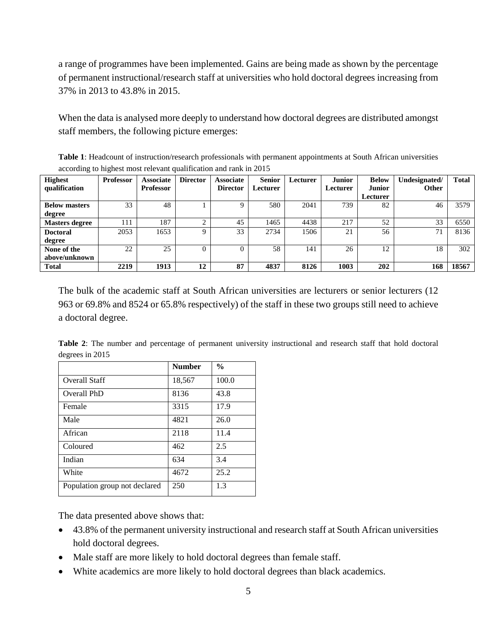a range of programmes have been implemented. Gains are being made as shown by the percentage of permanent instructional/research staff at universities who hold doctoral degrees increasing from 37% in 2013 to 43.8% in 2015.

When the data is analysed more deeply to understand how doctoral degrees are distributed amongst staff members, the following picture emerges:

**Table 1**: Headcount of instruction/research professionals with permanent appointments at South African universities according to highest most relevant qualification and rank in 2015

| <b>Highest</b>        | <b>Professor</b> | <b>Associate</b> | <b>Director</b> | <b>Associate</b> | <b>Senior</b> | Lecturer | <b>Junior</b> | <b>Below</b>  | Undesignated/ | <b>Total</b> |
|-----------------------|------------------|------------------|-----------------|------------------|---------------|----------|---------------|---------------|---------------|--------------|
| qualification         |                  | <b>Professor</b> |                 | <b>Director</b>  | Lecturer      |          | Lecturer      | <b>Junior</b> | <b>Other</b>  |              |
|                       |                  |                  |                 |                  |               |          |               | Lecturer      |               |              |
| <b>Below masters</b>  | 33               | 48               |                 |                  | 580           | 2041     | 739           | 82            | 46            | 3579         |
| degree                |                  |                  |                 |                  |               |          |               |               |               |              |
| <b>Masters degree</b> | 111              | 187              | ◠               | 45               | 1465          | 4438     | 217           | 52            | 33            | 6550         |
| <b>Doctoral</b>       | 2053             | 1653             | Q               | 33               | 2734          | 1506     | 21            | 56            | 71            | 8136         |
| degree                |                  |                  |                 |                  |               |          |               |               |               |              |
| None of the           | 22               | 25               | $\overline{0}$  |                  | 58            | 141      | 26            | 12            | 18            | 302          |
| above/unknown         |                  |                  |                 |                  |               |          |               |               |               |              |
| <b>Total</b>          | 2219             | 1913             | 12              | 87               | 4837          | 8126     | 1003          | 202           | 168           | 18567        |

The bulk of the academic staff at South African universities are lecturers or senior lecturers (12 963 or 69.8% and 8524 or 65.8% respectively) of the staff in these two groups still need to achieve a doctoral degree.

|                 |  |  |  | Table 2: The number and percentage of permanent university instructional and research staff that hold doctoral |  |  |  |
|-----------------|--|--|--|----------------------------------------------------------------------------------------------------------------|--|--|--|
| degrees in 2015 |  |  |  |                                                                                                                |  |  |  |

|                               | <b>Number</b> | $\frac{6}{9}$ |
|-------------------------------|---------------|---------------|
| Overall Staff                 | 18,567        | 100.0         |
| Overall PhD                   | 8136          | 43.8          |
| Female                        | 3315          | 17.9          |
| Male                          | 4821          | 26.0          |
| African                       | 2118          | 11.4          |
| Coloured                      | 462           | 2.5           |
| Indian                        | 634           | 3.4           |
| White                         | 4672          | 25.2          |
| Population group not declared | 250           | 1.3           |

The data presented above shows that:

- 43.8% of the permanent university instructional and research staff at South African universities hold doctoral degrees.
- Male staff are more likely to hold doctoral degrees than female staff.
- White academics are more likely to hold doctoral degrees than black academics.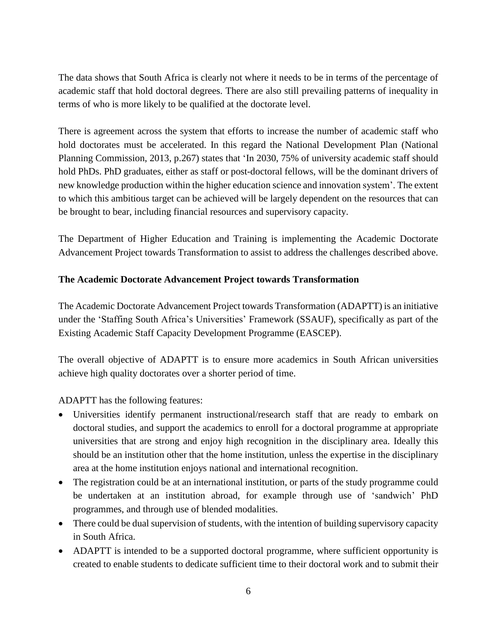The data shows that South Africa is clearly not where it needs to be in terms of the percentage of academic staff that hold doctoral degrees. There are also still prevailing patterns of inequality in terms of who is more likely to be qualified at the doctorate level.

There is agreement across the system that efforts to increase the number of academic staff who hold doctorates must be accelerated. In this regard the National Development Plan (National Planning Commission, 2013, p.267) states that 'In 2030, 75% of university academic staff should hold PhDs. PhD graduates, either as staff or post-doctoral fellows, will be the dominant drivers of new knowledge production within the higher education science and innovation system'. The extent to which this ambitious target can be achieved will be largely dependent on the resources that can be brought to bear, including financial resources and supervisory capacity.

The Department of Higher Education and Training is implementing the Academic Doctorate Advancement Project towards Transformation to assist to address the challenges described above.

### **The Academic Doctorate Advancement Project towards Transformation**

The Academic Doctorate Advancement Project towards Transformation (ADAPTT) is an initiative under the 'Staffing South Africa's Universities' Framework (SSAUF), specifically as part of the Existing Academic Staff Capacity Development Programme (EASCEP).

The overall objective of ADAPTT is to ensure more academics in South African universities achieve high quality doctorates over a shorter period of time.

ADAPTT has the following features:

- Universities identify permanent instructional/research staff that are ready to embark on doctoral studies, and support the academics to enroll for a doctoral programme at appropriate universities that are strong and enjoy high recognition in the disciplinary area. Ideally this should be an institution other that the home institution, unless the expertise in the disciplinary area at the home institution enjoys national and international recognition.
- The registration could be at an international institution, or parts of the study programme could be undertaken at an institution abroad, for example through use of 'sandwich' PhD programmes, and through use of blended modalities.
- There could be dual supervision of students, with the intention of building supervisory capacity in South Africa.
- ADAPTT is intended to be a supported doctoral programme, where sufficient opportunity is created to enable students to dedicate sufficient time to their doctoral work and to submit their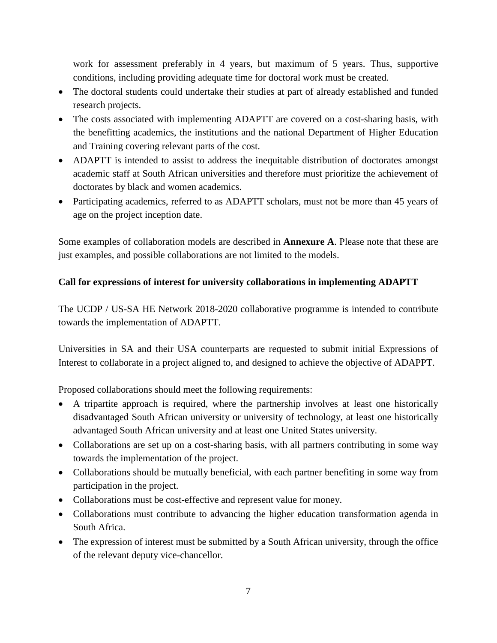work for assessment preferably in 4 years, but maximum of 5 years. Thus, supportive conditions, including providing adequate time for doctoral work must be created.

- The doctoral students could undertake their studies at part of already established and funded research projects.
- The costs associated with implementing ADAPTT are covered on a cost-sharing basis, with the benefitting academics, the institutions and the national Department of Higher Education and Training covering relevant parts of the cost.
- ADAPTT is intended to assist to address the inequitable distribution of doctorates amongst academic staff at South African universities and therefore must prioritize the achievement of doctorates by black and women academics.
- Participating academics, referred to as ADAPTT scholars, must not be more than 45 years of age on the project inception date.

Some examples of collaboration models are described in **Annexure A**. Please note that these are just examples, and possible collaborations are not limited to the models.

# **Call for expressions of interest for university collaborations in implementing ADAPTT**

The UCDP / US-SA HE Network 2018-2020 collaborative programme is intended to contribute towards the implementation of ADAPTT.

Universities in SA and their USA counterparts are requested to submit initial Expressions of Interest to collaborate in a project aligned to, and designed to achieve the objective of ADAPPT.

Proposed collaborations should meet the following requirements:

- A tripartite approach is required, where the partnership involves at least one historically disadvantaged South African university or university of technology, at least one historically advantaged South African university and at least one United States university.
- Collaborations are set up on a cost-sharing basis, with all partners contributing in some way towards the implementation of the project.
- Collaborations should be mutually beneficial, with each partner benefiting in some way from participation in the project.
- Collaborations must be cost-effective and represent value for money.
- Collaborations must contribute to advancing the higher education transformation agenda in South Africa.
- The expression of interest must be submitted by a South African university, through the office of the relevant deputy vice-chancellor.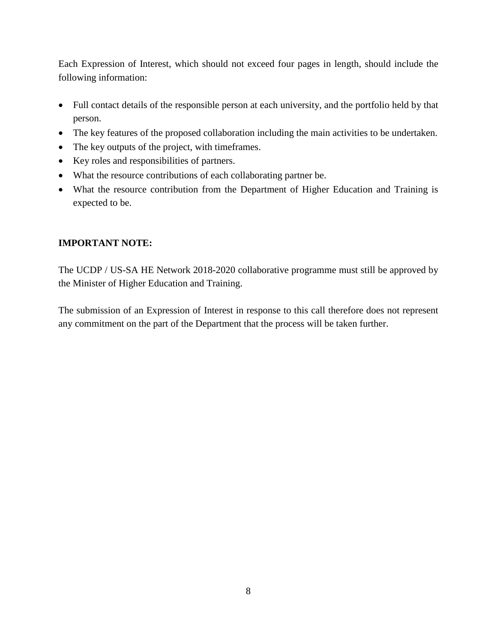Each Expression of Interest, which should not exceed four pages in length, should include the following information:

- Full contact details of the responsible person at each university, and the portfolio held by that person.
- The key features of the proposed collaboration including the main activities to be undertaken.
- The key outputs of the project, with timeframes.
- Key roles and responsibilities of partners.
- What the resource contributions of each collaborating partner be.
- What the resource contribution from the Department of Higher Education and Training is expected to be.

### **IMPORTANT NOTE:**

The UCDP / US-SA HE Network 2018-2020 collaborative programme must still be approved by the Minister of Higher Education and Training.

The submission of an Expression of Interest in response to this call therefore does not represent any commitment on the part of the Department that the process will be taken further.